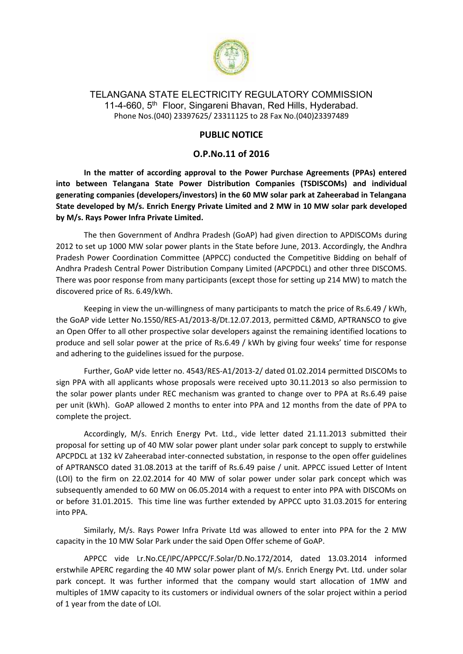

## TELANGANA STATE ELECTRICITY REGULATORY COMMISSION 11-4-660, 5<sup>th</sup> Floor, Singareni Bhavan, Red Hills, Hyderabad. Phone Nos.(040) 23397625/ 23311125 to 28 Fax No.(040)23397489

## **PUBLIC NOTICE**

## **O.P.No.11 of 2016**

**In the matter of according approval to the Power Purchase Agreements (PPAs) entered into between Telangana State Power Distribution Companies (TSDISCOMs) and individual generating companies (developers/investors) in the 60 MW solar park at Zaheerabad in Telangana State developed by M/s. Enrich Energy Private Limited and 2 MW in 10 MW solar park developed by M/s. Rays Power Infra Private Limited.**

The then Government of Andhra Pradesh (GoAP) had given direction to APDISCOMs during 2012 to set up 1000 MW solar power plants in the State before June, 2013. Accordingly, the Andhra Pradesh Power Coordination Committee (APPCC) conducted the Competitive Bidding on behalf of Andhra Pradesh Central Power Distribution Company Limited (APCPDCL) and other three DISCOMS. There was poor response from many participants (except those for setting up 214 MW) to match the discovered price of Rs. 6.49/kWh.

Keeping in view the un-willingness of many participants to match the price of Rs.6.49 / kWh, the GoAP vide Letter No.1550/RES-A1/2013-8/Dt.12.07.2013, permitted C&MD, APTRANSCO to give an Open Offer to all other prospective solar developers against the remaining identified locations to produce and sell solar power at the price of Rs.6.49 / kWh by giving four weeks' time for response and adhering to the guidelines issued for the purpose.

Further, GoAP vide letter no. 4543/RES-A1/2013-2/ dated 01.02.2014 permitted DISCOMs to sign PPA with all applicants whose proposals were received upto 30.11.2013 so also permission to the solar power plants under REC mechanism was granted to change over to PPA at Rs.6.49 paise per unit (kWh). GoAP allowed 2 months to enter into PPA and 12 months from the date of PPA to complete the project.

Accordingly, M/s. Enrich Energy Pvt. Ltd., vide letter dated 21.11.2013 submitted their proposal for setting up of 40 MW solar power plant under solar park concept to supply to erstwhile APCPDCL at 132 kV Zaheerabad inter-connected substation, in response to the open offer guidelines of APTRANSCO dated 31.08.2013 at the tariff of Rs.6.49 paise / unit. APPCC issued Letter of Intent (LOI) to the firm on 22.02.2014 for 40 MW of solar power under solar park concept which was subsequently amended to 60 MW on 06.05.2014 with a request to enter into PPA with DISCOMs on or before 31.01.2015. This time line was further extended by APPCC upto 31.03.2015 for entering into PPA.

Similarly, M/s. Rays Power Infra Private Ltd was allowed to enter into PPA for the 2 MW capacity in the 10 MW Solar Park under the said Open Offer scheme of GoAP.

APPCC vide Lr.No.CE/IPC/APPCC/F.Solar/D.No.172/2014, dated 13.03.2014 informed erstwhile APERC regarding the 40 MW solar power plant of M/s. Enrich Energy Pvt. Ltd. under solar park concept. It was further informed that the company would start allocation of 1MW and multiples of 1MW capacity to its customers or individual owners of the solar project within a period of 1 year from the date of LOI.